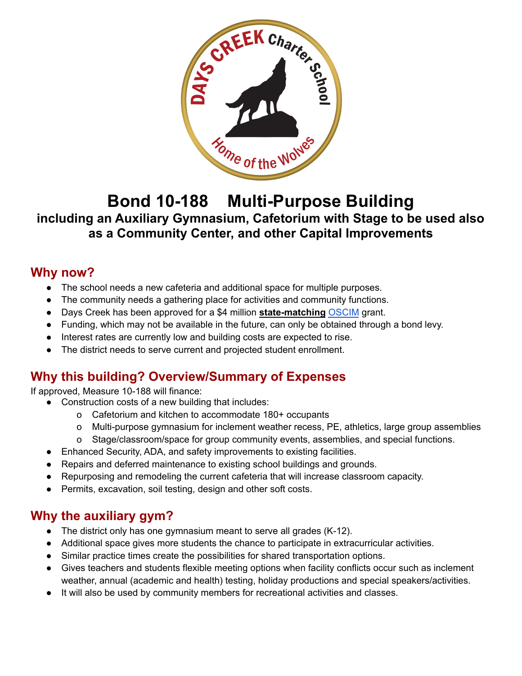

# **Bond 10-188 Multi-Purpose Building including an Auxiliary Gymnasium, Cafetorium with Stage to be used also as a Community Center, and other Capital Improvements**

#### **Why now?**

- The school needs a new cafeteria and additional space for multiple purposes.
- The community needs a gathering place for activities and community functions.
- Days Creek has been approved for a \$4 million **state-matching** [OSCIM](https://www.oregon.gov/ode/schools-and-districts/grants/Documents/Office%20of%20School%20Facilities/OSCIM/OSCIM%20Frequently%20Asked%20Questions%208.2.21.pdf) grant.
- Funding, which may not be available in the future, can only be obtained through a bond levy.
- Interest rates are currently low and building costs are expected to rise.
- The district needs to serve current and projected student enrollment.

## **Why this building? Overview/Summary of Expenses**

If approved, Measure 10-188 will finance:

- Construction costs of a new building that includes:
	- o Cafetorium and kitchen to accommodate 180+ occupants
	- o Multi-purpose gymnasium for inclement weather recess, PE, athletics, large group assemblies
	- o Stage/classroom/space for group community events, assemblies, and special functions.
- Enhanced Security, ADA, and safety improvements to existing facilities.
- Repairs and deferred maintenance to existing school buildings and grounds.
- Repurposing and remodeling the current cafeteria that will increase classroom capacity.
- Permits, excavation, soil testing, design and other soft costs.

## **Why the auxiliary gym?**

- The district only has one gymnasium meant to serve all grades (K-12).
- Additional space gives more students the chance to participate in extracurricular activities.
- Similar practice times create the possibilities for shared transportation options.
- Gives teachers and students flexible meeting options when facility conflicts occur such as inclement weather, annual (academic and health) testing, holiday productions and special speakers/activities.
- It will also be used by community members for recreational activities and classes.